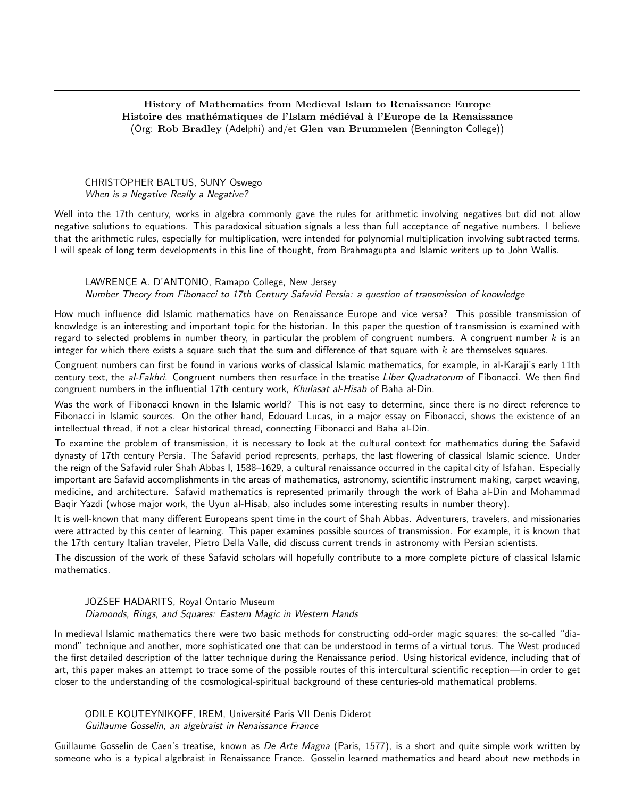## History of Mathematics from Medieval Islam to Renaissance Europe Histoire des mathématiques de l'Islam médiéval à l'Europe de la Renaissance (Org: Rob Bradley (Adelphi) and/et Glen van Brummelen (Bennington College))

#### CHRISTOPHER BALTUS, SUNY Oswego When is a Negative Really a Negative?

Well into the 17th century, works in algebra commonly gave the rules for arithmetic involving negatives but did not allow negative solutions to equations. This paradoxical situation signals a less than full acceptance of negative numbers. I believe that the arithmetic rules, especially for multiplication, were intended for polynomial multiplication involving subtracted terms. I will speak of long term developments in this line of thought, from Brahmagupta and Islamic writers up to John Wallis.

### LAWRENCE A. D'ANTONIO, Ramapo College, New Jersey Number Theory from Fibonacci to 17th Century Safavid Persia: a question of transmission of knowledge

How much influence did Islamic mathematics have on Renaissance Europe and vice versa? This possible transmission of knowledge is an interesting and important topic for the historian. In this paper the question of transmission is examined with regard to selected problems in number theory, in particular the problem of congruent numbers. A congruent number  $k$  is an integer for which there exists a square such that the sum and difference of that square with  $k$  are themselves squares.

Congruent numbers can first be found in various works of classical Islamic mathematics, for example, in al-Karaji's early 11th century text, the al-Fakhri. Congruent numbers then resurface in the treatise Liber Quadratorum of Fibonacci. We then find congruent numbers in the influential 17th century work, Khulasat al-Hisab of Baha al-Din.

Was the work of Fibonacci known in the Islamic world? This is not easy to determine, since there is no direct reference to Fibonacci in Islamic sources. On the other hand, Edouard Lucas, in a major essay on Fibonacci, shows the existence of an intellectual thread, if not a clear historical thread, connecting Fibonacci and Baha al-Din.

To examine the problem of transmission, it is necessary to look at the cultural context for mathematics during the Safavid dynasty of 17th century Persia. The Safavid period represents, perhaps, the last flowering of classical Islamic science. Under the reign of the Safavid ruler Shah Abbas I, 1588–1629, a cultural renaissance occurred in the capital city of Isfahan. Especially important are Safavid accomplishments in the areas of mathematics, astronomy, scientific instrument making, carpet weaving, medicine, and architecture. Safavid mathematics is represented primarily through the work of Baha al-Din and Mohammad Baqir Yazdi (whose major work, the Uyun al-Hisab, also includes some interesting results in number theory).

It is well-known that many different Europeans spent time in the court of Shah Abbas. Adventurers, travelers, and missionaries were attracted by this center of learning. This paper examines possible sources of transmission. For example, it is known that the 17th century Italian traveler, Pietro Della Valle, did discuss current trends in astronomy with Persian scientists.

The discussion of the work of these Safavid scholars will hopefully contribute to a more complete picture of classical Islamic mathematics.

# JOZSEF HADARITS, Royal Ontario Museum

### Diamonds, Rings, and Squares: Eastern Magic in Western Hands

In medieval Islamic mathematics there were two basic methods for constructing odd-order magic squares: the so-called "diamond" technique and another, more sophisticated one that can be understood in terms of a virtual torus. The West produced the first detailed description of the latter technique during the Renaissance period. Using historical evidence, including that of art, this paper makes an attempt to trace some of the possible routes of this intercultural scientific reception—in order to get closer to the understanding of the cosmological-spiritual background of these centuries-old mathematical problems.

ODILE KOUTEYNIKOFF, IREM, Université Paris VII Denis Diderot Guillaume Gosselin, an algebraist in Renaissance France

Guillaume Gosselin de Caen's treatise, known as De Arte Magna (Paris, 1577), is a short and quite simple work written by someone who is a typical algebraist in Renaissance France. Gosselin learned mathematics and heard about new methods in